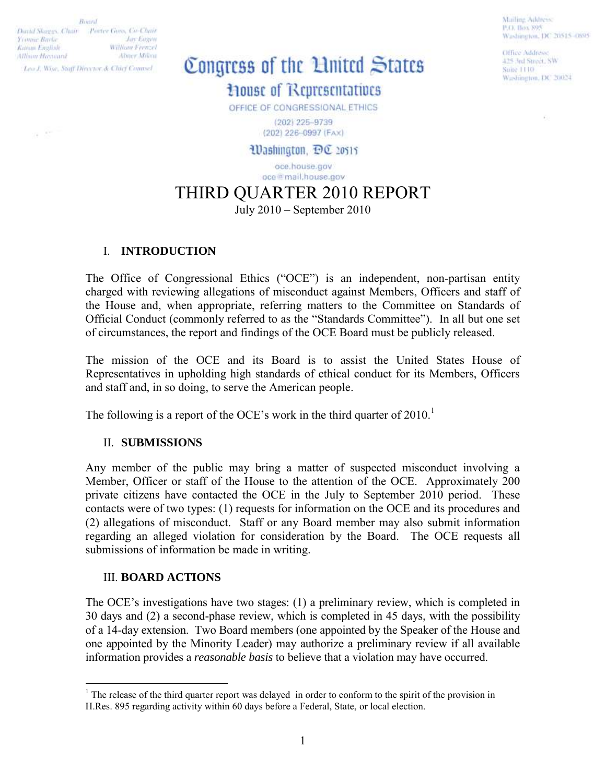Roard David Skeepes, Chair - Porter Goos, Co-Chair Yvanne Barbe **Just Eagan** William Frenzel Kettem Fivallyh **Allison Havward** Abner Mikra Lea J. Wisc. Staff Director & Chief Counsel.

a St

# Congress of the Linited States

**Mouse of Representatives** 

OFFICE OF CONGRESSIONAL ETHICS

(202) 225-9739 (202) 226-0997 (FAX)

Washington, DC 20515

oce.house.gov oce@mail.house.gov

THIRD QUARTER 2010 REPORT

July 2010 – September 2010

## I. **INTRODUCTION**

The Office of Congressional Ethics ("OCE") is an independent, non-partisan entity charged with reviewing allegations of misconduct against Members, Officers and staff of the House and, when appropriate, referring matters to the Committee on Standards of Official Conduct (commonly referred to as the "Standards Committee"). In all but one set of circumstances, the report and findings of the OCE Board must be publicly released.

The mission of the OCE and its Board is to assist the United States House of Representatives in upholding high standards of ethical conduct for its Members, Officers and staff and, in so doing, to serve the American people.

The following is a report of the OCE's work in the third quarter of  $2010$ .<sup>1</sup>

### II. **SUBMISSIONS**

Any member of the public may bring a matter of suspected misconduct involving a Member, Officer or staff of the House to the attention of the OCE. Approximately 200 private citizens have contacted the OCE in the July to September 2010 period. These contacts were of two types: (1) requests for information on the OCE and its procedures and (2) allegations of misconduct. Staff or any Board member may also submit information regarding an alleged violation for consideration by the Board. The OCE requests all submissions of information be made in writing.

### III. **BOARD ACTIONS**

The OCE's investigations have two stages: (1) a preliminary review, which is completed in 30 days and (2) a second-phase review, which is completed in 45 days, with the possibility of a 14-day extension. Two Board members (one appointed by the Speaker of the House and one appointed by the Minority Leader) may authorize a preliminary review if all available information provides a *reasonable basis* to believe that a violation may have occurred.

1

Mailing Address P.O. Box 895 Washington, DC 20515-0895

Office Address: 425 Jul Street, SW Suite 1110 Washington, DC 20024

<sup>&</sup>lt;sup>1</sup> The release of the third quarter report was delayed in order to conform to the spirit of the provision in H.Res. 895 regarding activity within 60 days before a Federal, State, or local election.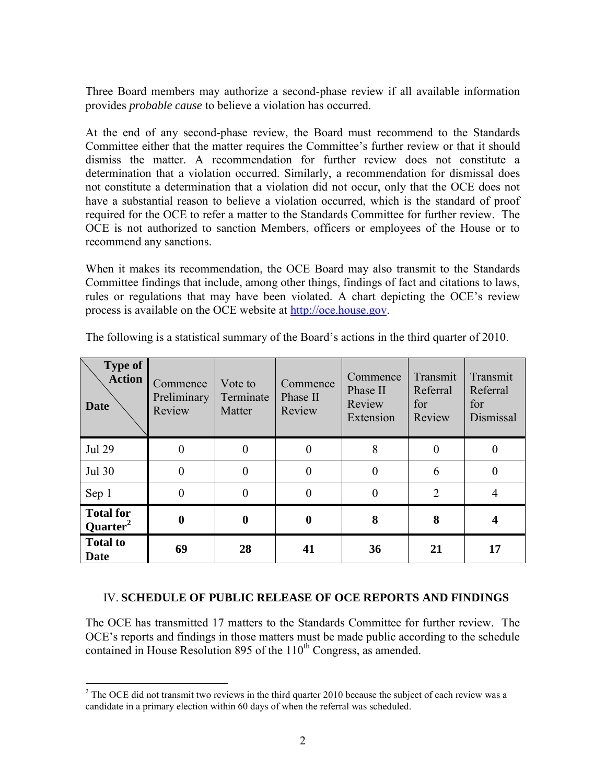Three Board members may authorize a second-phase review if all available information provides *probable cause* to believe a violation has occurred.

At the end of any second-phase review, the Board must recommend to the Standards Committee either that the matter requires the Committee's further review or that it should dismiss the matter. A recommendation for further review does not constitute a determination that a violation occurred. Similarly, a recommendation for dismissal does not constitute a determination that a violation did not occur, only that the OCE does not have a substantial reason to believe a violation occurred, which is the standard of proof required for the OCE to refer a matter to the Standards Committee for further review. The OCE is not authorized to sanction Members, officers or employees of the House or to recommend any sanctions.

When it makes its recommendation, the OCE Board may also transmit to the Standards Committee findings that include, among other things, findings of fact and citations to laws, rules or regulations that may have been violated. A chart depicting the OCE's review process is available on the OCE website at [http://oce.house.gov.](http://oce.house.gov/)

| <b>Type of</b><br><b>Action</b><br><b>Date</b> | Commence<br>Preliminary<br>Review | Vote to<br>Terminate<br>Matter | Commence<br>Phase II<br>Review | Commence<br>Phase II<br>Review<br>Extension | Transmit<br>Referral<br>for<br>Review | Transmit<br>Referral<br>for<br>Dismissal |
|------------------------------------------------|-----------------------------------|--------------------------------|--------------------------------|---------------------------------------------|---------------------------------------|------------------------------------------|
| <b>Jul 29</b>                                  |                                   | $\Omega$                       |                                | 8                                           | $\Omega$                              |                                          |
| Jul 30                                         |                                   | $\Omega$                       | 0                              | $\theta$                                    | 6                                     |                                          |
| Sep 1                                          |                                   | $\Omega$                       | 0                              | $\Omega$                                    | 2                                     |                                          |
| <b>Total for</b><br>Quarter <sup>2</sup>       |                                   |                                | $\boldsymbol{0}$               | 8                                           | 8                                     |                                          |
| <b>Total to</b><br><b>Date</b>                 | 69                                | 28                             | 41                             | 36                                          | 21                                    | 17                                       |

The following is a statistical summary of the Board's actions in the third quarter of 2010.

### IV. **SCHEDULE OF PUBLIC RELEASE OF OCE REPORTS AND FINDINGS**

The OCE has transmitted 17 matters to the Standards Committee for further review. The OCE's reports and findings in those matters must be made public according to the schedule contained in House Resolution 895 of the  $110<sup>th</sup>$  Congress, as amended.

<sup>&</sup>lt;sup>2</sup> The OCE did not transmit two reviews in the third quarter 2010 because the subject of each review was a candidate in a primary election within 60 days of when the referral was scheduled.